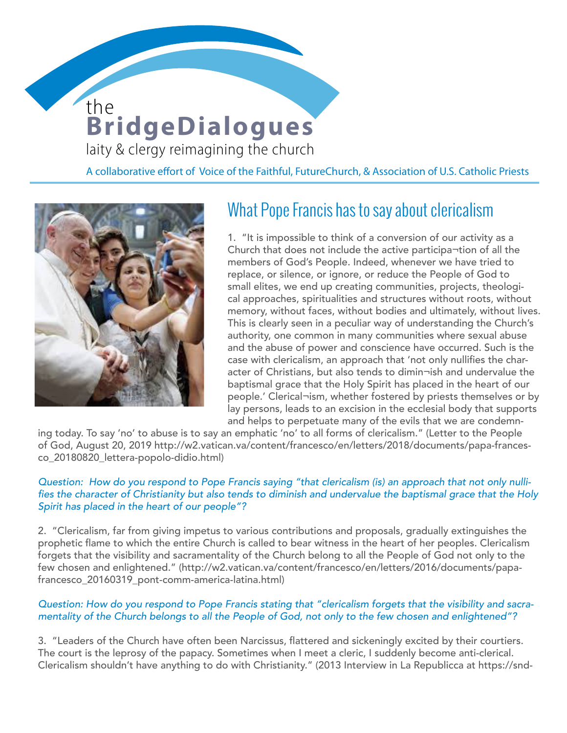# **BridgeDialogues** the

**WOMEN DEACONS** 

laity & clergy reimagining the church

A collaborative effort of Voice of the Faithful, FutureChurch, & Association of U.S. Catholic Priests



## What Pope Francis has to say about clericalism

1. "It is impossible to think of a conversion of our activity as a Church that does not include the active participa¬tion of all the members of God's People. Indeed, whenever we have tried to replace, or silence, or ignore, or reduce the People of God to small elites, we end up creating communities, projects, theological approaches, spiritualities and structures without roots, without memory, without faces, without bodies and ultimately, without lives. This is clearly seen in a peculiar way of understanding the Church's authority, one common in many communities where sexual abuse and the abuse of power and conscience have occurred. Such is the case with clericalism, an approach that 'not only nullifies the character of Christians, but also tends to dimin¬ish and undervalue the baptismal grace that the Holy Spirit has placed in the heart of our people.' Clerical¬ism, whether fostered by priests themselves or by lay persons, leads to an excision in the ecclesial body that supports and helps to perpetuate many of the evils that we are condemn-

ing today. To say 'no' to abuse is to say an emphatic 'no' to all forms of clericalism." (Letter to the People of God, August 20, 2019 http://w2.vatican.va/content/francesco/en/letters/2018/documents/papa-francesco\_20180820\_lettera-popolo-didio.html)

### Question: How do you respond to Pope Francis saying "that clericalism (is) an approach that not only nullifies the character of Christianity but also tends to diminish and undervalue the baptismal grace that the Holy Spirit has placed in the heart of our people"?

2. "Clericalism, far from giving impetus to various contributions and proposals, gradually extinguishes the prophetic flame to which the entire Church is called to bear witness in the heart of her peoples. Clericalism forgets that the visibility and sacramentality of the Church belong to all the People of God not only to the few chosen and enlightened." (http://w2.vatican.va/content/francesco/en/letters/2016/documents/papafrancesco\_20160319\_pont-comm-america-latina.html)

### Question: How do you respond to Pope Francis stating that "clericalism forgets that the visibility and sacramentality of the Church belongs to all the People of God, not only to the few chosen and enlightened"?

3. "Leaders of the Church have often been Narcissus, flattered and sickeningly excited by their courtiers. The court is the leprosy of the papacy. Sometimes when I meet a cleric, I suddenly become anti-clerical. Clericalism shouldn't have anything to do with Christianity." (2013 Interview in La Republicca at https://snd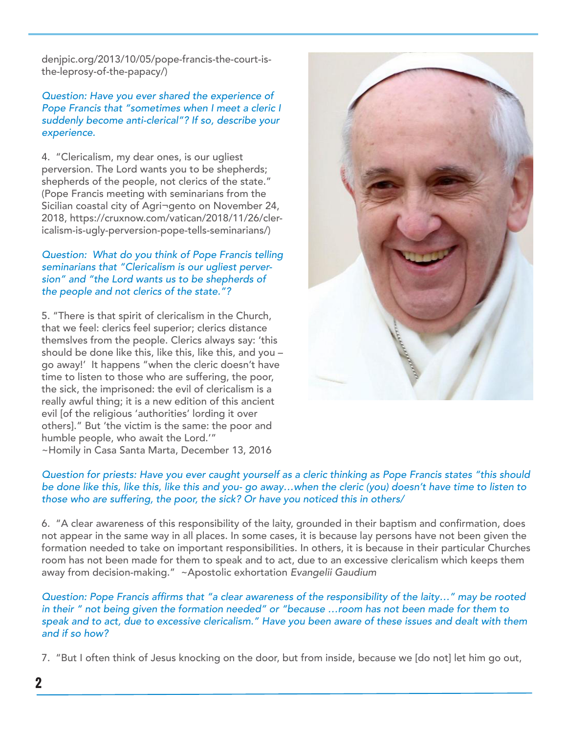denjpic.org/2013/10/05/pope-francis-the-court-isthe-leprosy-of-the-papacy/)

Question: Have you ever shared the experience of Pope Francis that "sometimes when I meet a cleric I suddenly become anti-clerical"? If so, describe your experience.

4. "Clericalism, my dear ones, is our ugliest perversion. The Lord wants you to be shepherds; shepherds of the people, not clerics of the state." (Pope Francis meeting with seminarians from the Sicilian coastal city of Agri¬gento on November 24, 2018, https://cruxnow.com/vatican/2018/11/26/clericalism-is-ugly-perversion-pope-tells-seminarians/)

### Question: What do you think of Pope Francis telling seminarians that "Clericalism is our ugliest perversion" and "the Lord wants us to be shepherds of the people and not clerics of the state."?

5. "There is that spirit of clericalism in the Church, that we feel: clerics feel superior; clerics distance themslves from the people. Clerics always say: 'this should be done like this, like this, like this, and you – go away!' It happens "when the cleric doesn't have time to listen to those who are suffering, the poor, the sick, the imprisoned: the evil of clericalism is a really awful thing; it is a new edition of this ancient evil [of the religious 'authorities' lording it over others]." But 'the victim is the same: the poor and humble people, who await the Lord.'" ~Homily in Casa Santa Marta, December 13, 2016



#### Question for priests: Have you ever caught yourself as a cleric thinking as Pope Francis states "this should be done like this, like this, like this and you- go away…when the cleric (you) doesn't have time to listen to those who are suffering, the poor, the sick? Or have you noticed this in others/

6. "A clear awareness of this responsibility of the laity, grounded in their baptism and confirmation, does not appear in the same way in all places. In some cases, it is because lay persons have not been given the formation needed to take on important responsibilities. In others, it is because in their particular Churches room has not been made for them to speak and to act, due to an excessive clericalism which keeps them away from decision-making." ~Apostolic exhortation Evangelii Gaudium

Question: Pope Francis affirms that "a clear awareness of the responsibility of the laity…" may be rooted in their " not being given the formation needed" or "because …room has not been made for them to speak and to act, due to excessive clericalism." Have you been aware of these issues and dealt with them and if so how?

7. "But I often think of Jesus knocking on the door, but from inside, because we [do not] let him go out,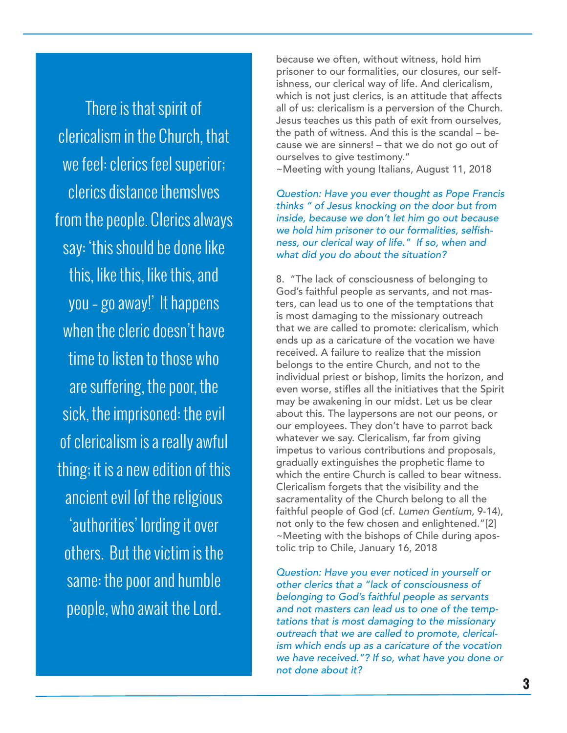There is that spirit of clericalism in the Church, that we feel: clerics feel superior; clerics distance themslves from the people. Clerics always say: 'this should be done like this, like this, like this, and you – go away!' It happens when the cleric doesn't have time to listen to those who are suffering, the poor, the sick, the imprisoned: the evil of clericalism is a really awful thing; it is a new edition of this ancient evil [of the religious 'authorities' lording it over others. But the victim is the same: the poor and humble people, who await the Lord.

because we often, without witness, hold him prisoner to our formalities, our closures, our selfishness, our clerical way of life. And clericalism, which is not just clerics, is an attitude that affects all of us: clericalism is a perversion of the Church. Jesus teaches us this path of exit from ourselves, the path of witness. And this is the scandal – because we are sinners! – that we do not go out of ourselves to give testimony." ~Meeting with young Italians, August 11, 2018

Question: Have you ever thought as Pope Francis thinks " of Jesus knocking on the door but from inside, because we don't let him go out because we hold him prisoner to our formalities, selfishness, our clerical way of life." If so, when and what did you do about the situation?

8. "The lack of consciousness of belonging to God's faithful people as servants, and not masters, can lead us to one of the temptations that is most damaging to the missionary outreach that we are called to promote: clericalism, which ends up as a caricature of the vocation we have received. A failure to realize that the mission belongs to the entire Church, and not to the individual priest or bishop, limits the horizon, and even worse, stifles all the initiatives that the Spirit may be awakening in our midst. Let us be clear about this. The laypersons are not our peons, or our employees. They don't have to parrot back whatever we say. Clericalism, far from giving impetus to various contributions and proposals, gradually extinguishes the prophetic flame to which the entire Church is called to bear witness. Clericalism forgets that the visibility and the sacramentality of the Church belong to all the faithful people of God (cf. Lumen Gentium, 9-14), not only to the few chosen and enlightened."[2] ~Meeting with the bishops of Chile during apostolic trip to Chile, January 16, 2018

Question: Have you ever noticed in yourself or other clerics that a "lack of consciousness of belonging to God's faithful people as servants and not masters can lead us to one of the temptations that is most damaging to the missionary outreach that we are called to promote, clericalism which ends up as a caricature of the vocation we have received."? If so, what have you done or not done about it?